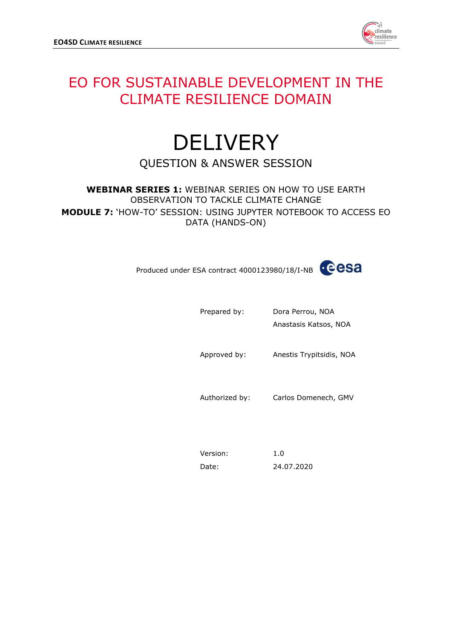

## EO FOR SUSTAINABLE DEVELOPMENT IN THE CLIMATE RESILIENCE DOMAIN

## **DELIVERY** QUESTION & ANSWER SESSION

## **WEBINAR SERIES 1:** WEBINAR SERIES ON HOW TO USE EARTH OBSERVATION TO TACKLE CLIMATE CHANGE **MODULE 7:** 'HOW-TO' SESSION: USING JUPYTER NOTEBOOK TO ACCESS EO DATA (HANDS-ON)



| Prepared by:   | Dora Perrou, NOA<br>Anastasis Katsos, NOA |
|----------------|-------------------------------------------|
| Approved by:   | Anestis Trypitsidis, NOA                  |
| Authorized by: | Carlos Domenech, GMV                      |
|                |                                           |

| Version: | 1.0        |
|----------|------------|
| Date:    | 24.07.2020 |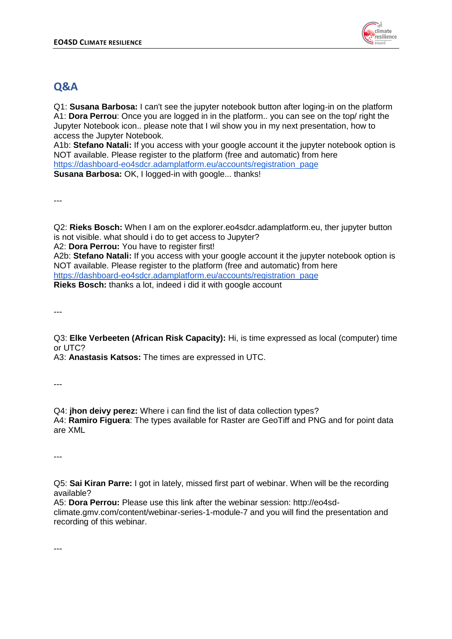

## **Q&A**

Q1: **Susana Barbosa:** I can't see the jupyter notebook button after loging-in on the platform A1: **Dora Perrou**: Once you are logged in in the platform.. you can see on the top/ right the Jupyter Notebook icon.. please note that I wil show you in my next presentation, how to access the Jupyter Notebook.

A1b: **Stefano Natali:** If you access with your google account it the jupyter notebook option is NOT available. Please register to the platform (free and automatic) from here [https://dashboard-eo4sdcr.adamplatform.eu/accounts/registration\\_page](https://dashboard-eo4sdcr.adamplatform.eu/accounts/registration_page) **Susana Barbosa:** OK, I logged-in with google... thanks!

---

Q2: **Rieks Bosch:** When I am on the explorer.eo4sdcr.adamplatform.eu, ther jupyter button is not visible. what should i do to get access to Jupyter?

A2: **Dora Perrou:** You have to register first!

A2b: **Stefano Natali:** If you access with your google account it the jupyter notebook option is NOT available. Please register to the platform (free and automatic) from here [https://dashboard-eo4sdcr.adamplatform.eu/accounts/registration\\_page](https://dashboard-eo4sdcr.adamplatform.eu/accounts/registration_page)

**Rieks Bosch:** thanks a lot, indeed i did it with google account

---

Q3: **Elke Verbeeten (African Risk Capacity):** Hi, is time expressed as local (computer) time or UTC?

A3: **Anastasis Katsos:** The times are expressed in UTC.

---

Q4: **jhon deivy perez:** Where i can find the list of data collection types? A4: **Ramiro Figuera**: The types available for Raster are GeoTiff and PNG and for point data are XML

---

Q5: **Sai Kiran Parre:** I got in lately, missed first part of webinar. When will be the recording available?

A5: **Dora Perrou:** Please use this link after the webinar session: http://eo4sdclimate.gmv.com/content/webinar-series-1-module-7 and you will find the presentation and recording of this webinar.

---